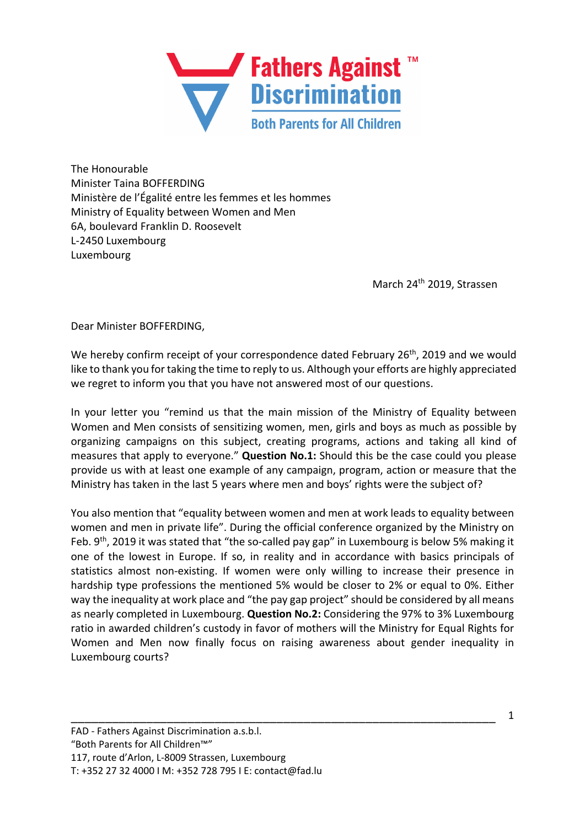

The Honourable Minister Taina BOFFERDING Ministère de l'Égalité entre les femmes et les hommes Ministry of Equality between Women and Men 6A, boulevard Franklin D. Roosevelt L-2450 Luxembourg Luxembourg

March 24th 2019, Strassen

Dear Minister BOFFERDING,

We hereby confirm receipt of your correspondence dated February 26<sup>th</sup>, 2019 and we would like to thank you for taking the time to reply to us. Although your efforts are highly appreciated we regret to inform you that you have not answered most of our questions.

In your letter you "remind us that the main mission of the Ministry of Equality between Women and Men consists of sensitizing women, men, girls and boys as much as possible by organizing campaigns on this subject, creating programs, actions and taking all kind of measures that apply to everyone." **Question No.1:** Should this be the case could you please provide us with at least one example of any campaign, program, action or measure that the Ministry has taken in the last 5 years where men and boys' rights were the subject of?

You also mention that "equality between women and men at work leads to equality between women and men in private life". During the official conference organized by the Ministry on Feb. 9<sup>th</sup>, 2019 it was stated that "the so-called pay gap" in Luxembourg is below 5% making it one of the lowest in Europe. If so, in reality and in accordance with basics principals of statistics almost non-existing. If women were only willing to increase their presence in hardship type professions the mentioned 5% would be closer to 2% or equal to 0%. Either way the inequality at work place and "the pay gap project" should be considered by all means as nearly completed in Luxembourg. **Question No.2:** Considering the 97% to 3% Luxembourg ratio in awarded children's custody in favor of mothers will the Ministry for Equal Rights for Women and Men now finally focus on raising awareness about gender inequality in Luxembourg courts?

\_\_\_\_\_\_\_\_\_\_\_\_\_\_\_\_\_\_\_\_\_\_\_\_\_\_\_\_\_\_\_\_\_\_\_\_\_\_\_\_\_\_\_\_\_\_\_\_\_\_\_\_\_\_\_\_\_\_\_\_\_\_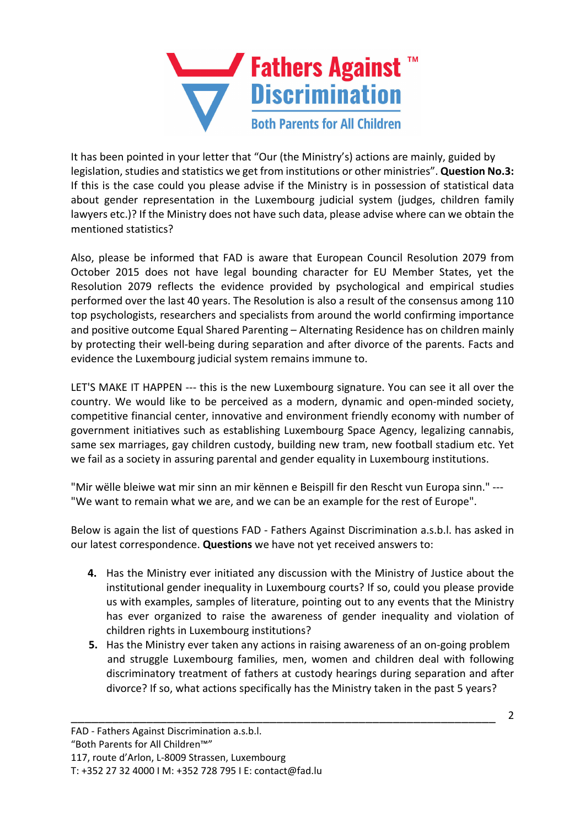

It has been pointed in your letter that "Our (the Ministry's) actions are mainly, guided by legislation, studies and statistics we get from institutions or other ministries". **Question No.3:** If this is the case could you please advise if the Ministry is in possession of statistical data about gender representation in the Luxembourg judicial system (judges, children family lawyers etc.)? If the Ministry does not have such data, please advise where can we obtain the mentioned statistics?

Also, please be informed that FAD is aware that European Council Resolution 2079 from October 2015 does not have legal bounding character for EU Member States, yet the Resolution 2079 reflects the evidence provided by psychological and empirical studies performed over the last 40 years. The Resolution is also a result of the consensus among 110 top psychologists, researchers and specialists from around the world confirming importance and positive outcome Equal Shared Parenting – Alternating Residence has on children mainly by protecting their well-being during separation and after divorce of the parents. Facts and evidence the Luxembourg judicial system remains immune to.

LET'S MAKE IT HAPPEN --- this is the new Luxembourg signature. You can see it all over the country. We would like to be perceived as a modern, dynamic and open-minded society, competitive financial center, innovative and environment friendly economy with number of government initiatives such as establishing Luxembourg Space Agency, legalizing cannabis, same sex marriages, gay children custody, building new tram, new football stadium etc. Yet we fail as a society in assuring parental and gender equality in Luxembourg institutions.

"Mir wëlle bleiwe wat mir sinn an mir kënnen e Beispill fir den Rescht vun Europa sinn." --- "We want to remain what we are, and we can be an example for the rest of Europe".

Below is again the list of questions FAD - Fathers Against Discrimination a.s.b.l. has asked in our latest correspondence. **Questions** we have not yet received answers to:

- **4.** Has the Ministry ever initiated any discussion with the Ministry of Justice about the institutional gender inequality in Luxembourg courts? If so, could you please provide us with examples, samples of literature, pointing out to any events that the Ministry has ever organized to raise the awareness of gender inequality and violation of children rights in Luxembourg institutions?
- **5.** Has the Ministry ever taken any actions in raising awareness of an on-going problem and struggle Luxembourg families, men, women and children deal with following discriminatory treatment of fathers at custody hearings during separation and after divorce? If so, what actions specifically has the Ministry taken in the past 5 years?

\_\_\_\_\_\_\_\_\_\_\_\_\_\_\_\_\_\_\_\_\_\_\_\_\_\_\_\_\_\_\_\_\_\_\_\_\_\_\_\_\_\_\_\_\_\_\_\_\_\_\_\_\_\_\_\_\_\_\_\_\_\_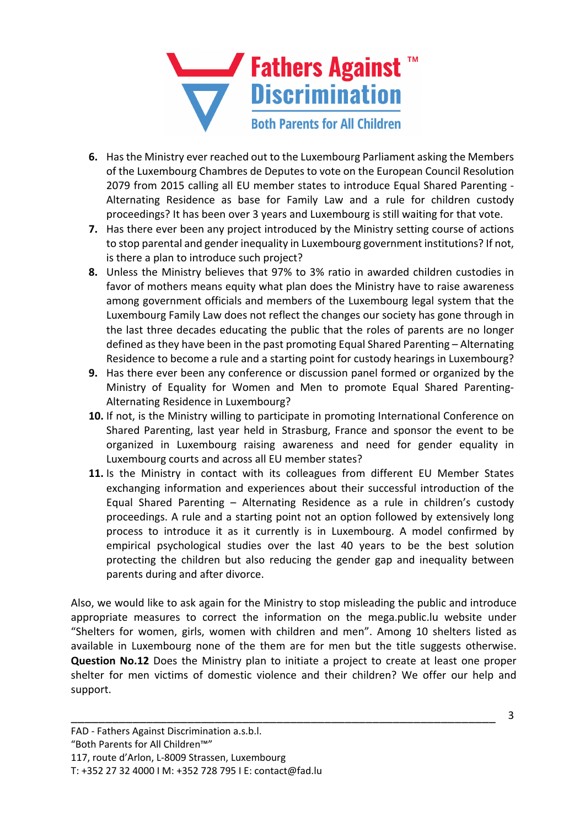

- **6.** Has the Ministry ever reached out to the Luxembourg Parliament asking the Members of the Luxembourg Chambres de Deputes to vote on the European Council Resolution 2079 from 2015 calling all EU member states to introduce Equal Shared Parenting - Alternating Residence as base for Family Law and a rule for children custody proceedings? It has been over 3 years and Luxembourg is still waiting for that vote.
- **7.** Has there ever been any project introduced by the Ministry setting course of actions to stop parental and gender inequality in Luxembourg government institutions? If not, is there a plan to introduce such project?
- **8.** Unless the Ministry believes that 97% to 3% ratio in awarded children custodies in favor of mothers means equity what plan does the Ministry have to raise awareness among government officials and members of the Luxembourg legal system that the Luxembourg Family Law does not reflect the changes our society has gone through in the last three decades educating the public that the roles of parents are no longer defined as they have been in the past promoting Equal Shared Parenting – Alternating Residence to become a rule and a starting point for custody hearings in Luxembourg?
- **9.** Has there ever been any conference or discussion panel formed or organized by the Ministry of Equality for Women and Men to promote Equal Shared Parenting-Alternating Residence in Luxembourg?
- **10.** If not, is the Ministry willing to participate in promoting International Conference on Shared Parenting, last year held in Strasburg, France and sponsor the event to be organized in Luxembourg raising awareness and need for gender equality in Luxembourg courts and across all EU member states?
- **11.** Is the Ministry in contact with its colleagues from different EU Member States exchanging information and experiences about their successful introduction of the Equal Shared Parenting – Alternating Residence as a rule in children's custody proceedings. A rule and a starting point not an option followed by extensively long process to introduce it as it currently is in Luxembourg. A model confirmed by empirical psychological studies over the last 40 years to be the best solution protecting the children but also reducing the gender gap and inequality between parents during and after divorce.

Also, we would like to ask again for the Ministry to stop misleading the public and introduce appropriate measures to correct the information on the mega.public.lu website under "Shelters for women, girls, women with children and men". Among 10 shelters listed as available in Luxembourg none of the them are for men but the title suggests otherwise. **Question No.12** Does the Ministry plan to initiate a project to create at least one proper shelter for men victims of domestic violence and their children? We offer our help and support.

\_\_\_\_\_\_\_\_\_\_\_\_\_\_\_\_\_\_\_\_\_\_\_\_\_\_\_\_\_\_\_\_\_\_\_\_\_\_\_\_\_\_\_\_\_\_\_\_\_\_\_\_\_\_\_\_\_\_\_\_\_\_